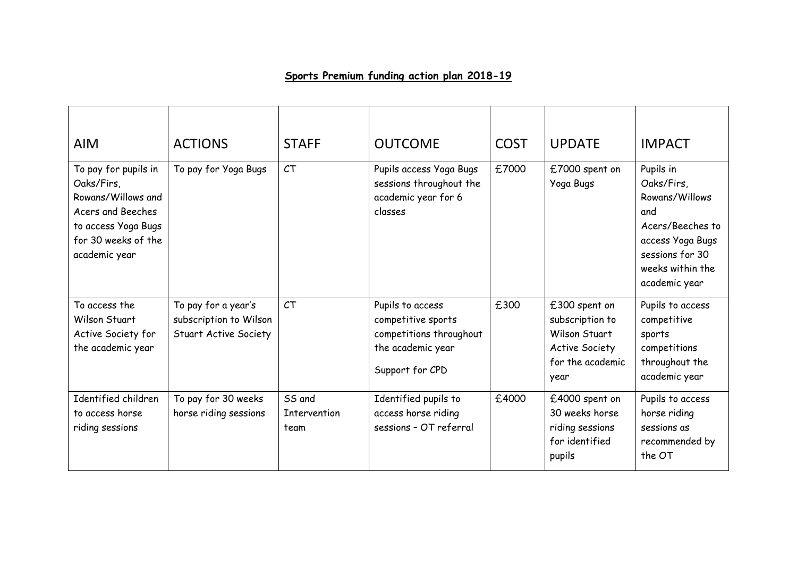## **Sports Premium funding action plan 2018-19**

| <b>AIM</b>                                                                                                                                   | <b>ACTIONS</b>                                                                | <b>STAFF</b>                   | <b>OUTCOME</b>                                                                                            | <b>COST</b> | <b>UPDATE</b>                                                                                          | <b>IMPACT</b>                                                                                                                                    |
|----------------------------------------------------------------------------------------------------------------------------------------------|-------------------------------------------------------------------------------|--------------------------------|-----------------------------------------------------------------------------------------------------------|-------------|--------------------------------------------------------------------------------------------------------|--------------------------------------------------------------------------------------------------------------------------------------------------|
| To pay for pupils in<br>Oaks/Firs,<br>Rowans/Willows and<br>Acers and Beeches<br>to access Yoga Bugs<br>for 30 weeks of the<br>academic year | To pay for Yoga Bugs                                                          | CT                             | Pupils access Yoga Bugs<br>sessions throughout the<br>academic year for 6<br>classes                      | £7000       | £7000 spent on<br>Yoga Bugs                                                                            | Pupils in<br>Oaks/Firs,<br>Rowans/Willows<br>and<br>Acers/Beeches to<br>access Yoga Bugs<br>sessions for 30<br>weeks within the<br>academic year |
| To access the<br>Wilson Stuart<br>Active Society for<br>the academic year                                                                    | To pay for a year's<br>subscription to Wilson<br><b>Stuart Active Society</b> | CT                             | Pupils to access<br>competitive sports<br>competitions throughout<br>the academic year<br>Support for CPD | £300        | £300 spent on<br>subscription to<br>Wilson Stuart<br><b>Active Society</b><br>for the academic<br>year | Pupils to access<br>competitive<br>sports<br>competitions<br>throughout the<br>academic year                                                     |
| Identified children<br>to access horse<br>riding sessions                                                                                    | To pay for 30 weeks<br>horse riding sessions                                  | SS and<br>Intervention<br>team | Identified pupils to<br>access horse riding<br>sessions - OT referral                                     | £4000       | £4000 spent on<br>30 weeks horse<br>riding sessions<br>for identified<br>pupils                        | Pupils to access<br>horse riding<br>sessions as<br>recommended by<br>the OT                                                                      |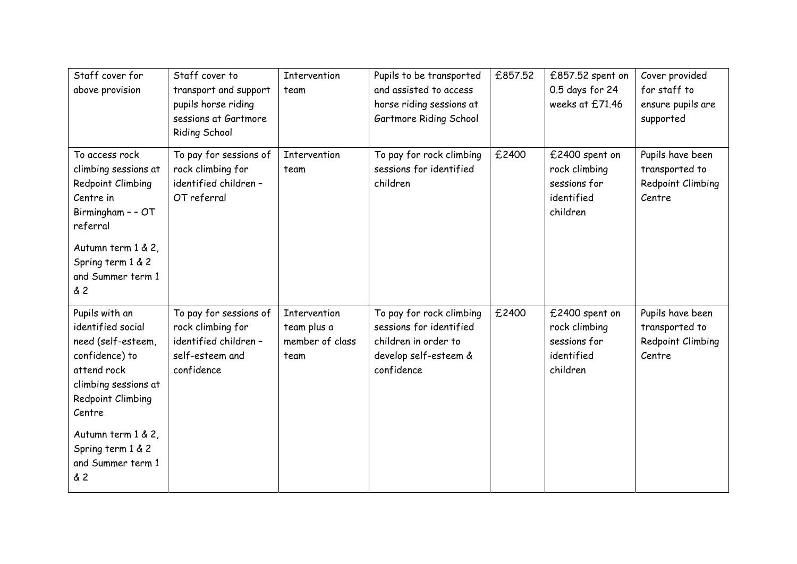| Staff cover for<br>above provision                                                                                                                                                                                                  | Staff cover to<br>transport and support<br>pupils horse riding<br>sessions at Gartmore<br><b>Riding School</b> | <b>Intervention</b><br>team                                   | Pupils to be transported<br>and assisted to access<br>horse riding sessions at<br>Gartmore Riding School           | £857.52 | £857.52 spent on<br>0.5 days for 24<br>weeks at £71.46                    | Cover provided<br>for staff to<br>ensure pupils are<br>supported  |
|-------------------------------------------------------------------------------------------------------------------------------------------------------------------------------------------------------------------------------------|----------------------------------------------------------------------------------------------------------------|---------------------------------------------------------------|--------------------------------------------------------------------------------------------------------------------|---------|---------------------------------------------------------------------------|-------------------------------------------------------------------|
| To access rock<br>climbing sessions at<br>Redpoint Climbing<br>Centre in<br>Birmingham - - OT<br>referral<br>Autumn term 1 & 2,<br>Spring term 1 & 2<br>and Summer term 1<br>& 2                                                    | To pay for sessions of<br>rock climbing for<br>identified children -<br>OT referral                            | Intervention<br>team                                          | To pay for rock climbing<br>sessions for identified<br>children                                                    | £2400   | £2400 spent on<br>rock climbing<br>sessions for<br>identified<br>children | Pupils have been<br>transported to<br>Redpoint Climbing<br>Centre |
| Pupils with an<br>identified social<br>need (self-esteem,<br>confidence) to<br>attend rock<br>climbing sessions at<br>Redpoint Climbing<br>Centre<br>Autumn term 1 & 2,<br>Spring term 1 & 2<br>and Summer term 1<br><b>&amp; 2</b> | To pay for sessions of<br>rock climbing for<br>identified children -<br>self-esteem and<br>confidence          | <b>Intervention</b><br>team plus a<br>member of class<br>team | To pay for rock climbing<br>sessions for identified<br>children in order to<br>develop self-esteem &<br>confidence | £2400   | £2400 spent on<br>rock climbing<br>sessions for<br>identified<br>children | Pupils have been<br>transported to<br>Redpoint Climbing<br>Centre |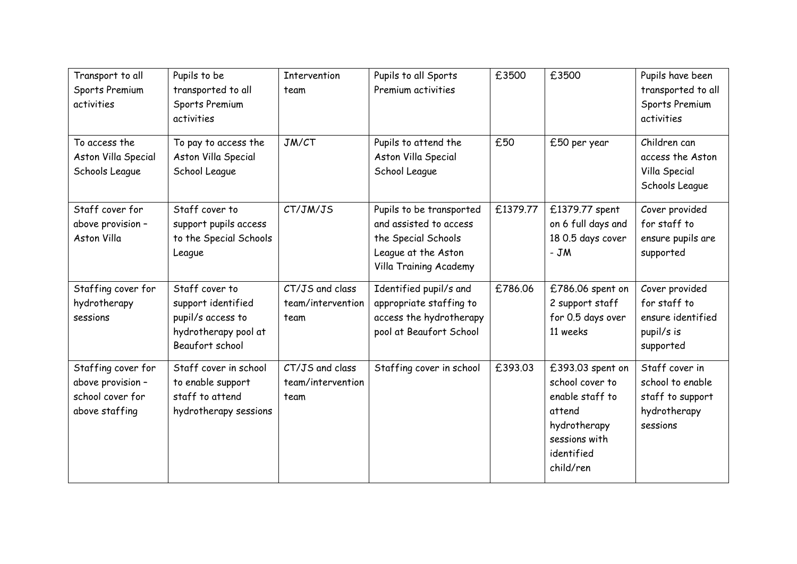| Transport to all<br>Sports Premium<br>activities                              | Pupils to be<br>transported to all<br>Sports Premium<br>activities                                   | <b>Intervention</b><br>team                  | Pupils to all Sports<br>Premium activities                                                                                 | £3500    | £3500                                                                                                                        | Pupils have been<br>transported to all<br>Sports Premium<br>activities             |
|-------------------------------------------------------------------------------|------------------------------------------------------------------------------------------------------|----------------------------------------------|----------------------------------------------------------------------------------------------------------------------------|----------|------------------------------------------------------------------------------------------------------------------------------|------------------------------------------------------------------------------------|
| To access the<br>Aston Villa Special<br>Schools League                        | To pay to access the<br>Aston Villa Special<br>School League                                         | JM/CT                                        | Pupils to attend the<br>Aston Villa Special<br>School League                                                               | £50      | £50 per year                                                                                                                 | Children can<br>access the Aston<br>Villa Special<br>Schools League                |
| Staff cover for<br>above provision -<br><b>Aston Villa</b>                    | Staff cover to<br>support pupils access<br>to the Special Schools<br>League                          | CT/JM/JS                                     | Pupils to be transported<br>and assisted to access<br>the Special Schools<br>League at the Aston<br>Villa Training Academy | £1379.77 | £1379.77 spent<br>on 6 full days and<br>18 0.5 days cover<br>$-JM$                                                           | Cover provided<br>for staff to<br>ensure pupils are<br>supported                   |
| Staffing cover for<br>hydrotherapy<br>sessions                                | Staff cover to<br>support identified<br>pupil/s access to<br>hydrotherapy pool at<br>Beaufort school | CT/JS and class<br>team/intervention<br>team | Identified pupil/s and<br>appropriate staffing to<br>access the hydrotherapy<br>pool at Beaufort School                    | £786.06  | £786.06 spent on<br>2 support staff<br>for 0.5 days over<br>11 weeks                                                         | Cover provided<br>for staff to<br>ensure identified<br>pupil/s is<br>supported     |
| Staffing cover for<br>above provision -<br>school cover for<br>above staffing | Staff cover in school<br>to enable support<br>staff to attend<br>hydrotherapy sessions               | CT/JS and class<br>team/intervention<br>team | Staffing cover in school                                                                                                   | £393.03  | £393.03 spent on<br>school cover to<br>enable staff to<br>attend<br>hydrotherapy<br>sessions with<br>identified<br>child/ren | Staff cover in<br>school to enable<br>staff to support<br>hydrotherapy<br>sessions |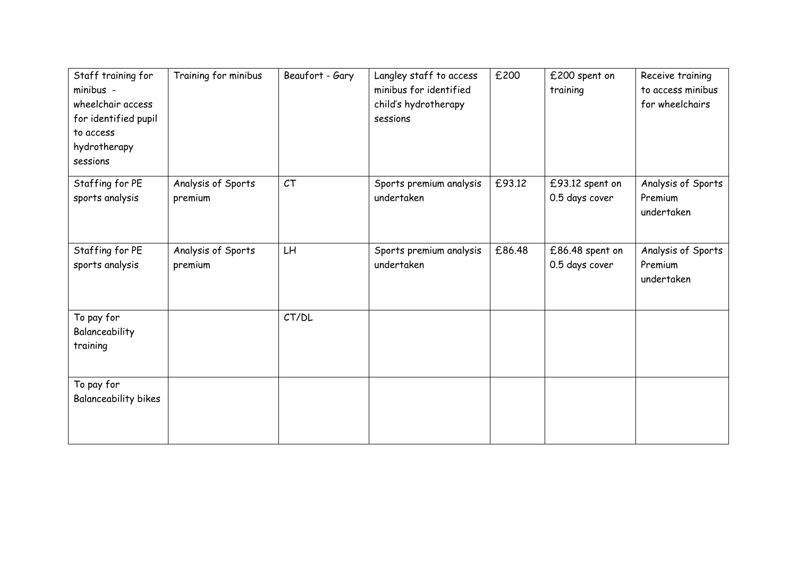| Staff training for<br>minibus -<br>wheelchair access<br>for identified pupil<br>to access<br>hydrotherapy<br>sessions | Training for minibus          | Beaufort - Gary | Langley staff to access<br>minibus for identified<br>child's hydrotherapy<br>sessions | £200   | £200 spent on<br>training         | Receive training<br>to access minibus<br>for wheelchairs |
|-----------------------------------------------------------------------------------------------------------------------|-------------------------------|-----------------|---------------------------------------------------------------------------------------|--------|-----------------------------------|----------------------------------------------------------|
| Staffing for PE<br>sports analysis                                                                                    | Analysis of Sports<br>premium | CT              | Sports premium analysis<br>undertaken                                                 | £93.12 | £93.12 spent on<br>0.5 days cover | Analysis of Sports<br>Premium<br>undertaken              |
| Staffing for PE<br>sports analysis                                                                                    | Analysis of Sports<br>premium | LH              | Sports premium analysis<br>undertaken                                                 | £86.48 | £86.48 spent on<br>0.5 days cover | Analysis of Sports<br>Premium<br>undertaken              |
| To pay for<br>Balanceability<br>training                                                                              |                               | CT/DL           |                                                                                       |        |                                   |                                                          |
| To pay for<br>Balanceability bikes                                                                                    |                               |                 |                                                                                       |        |                                   |                                                          |